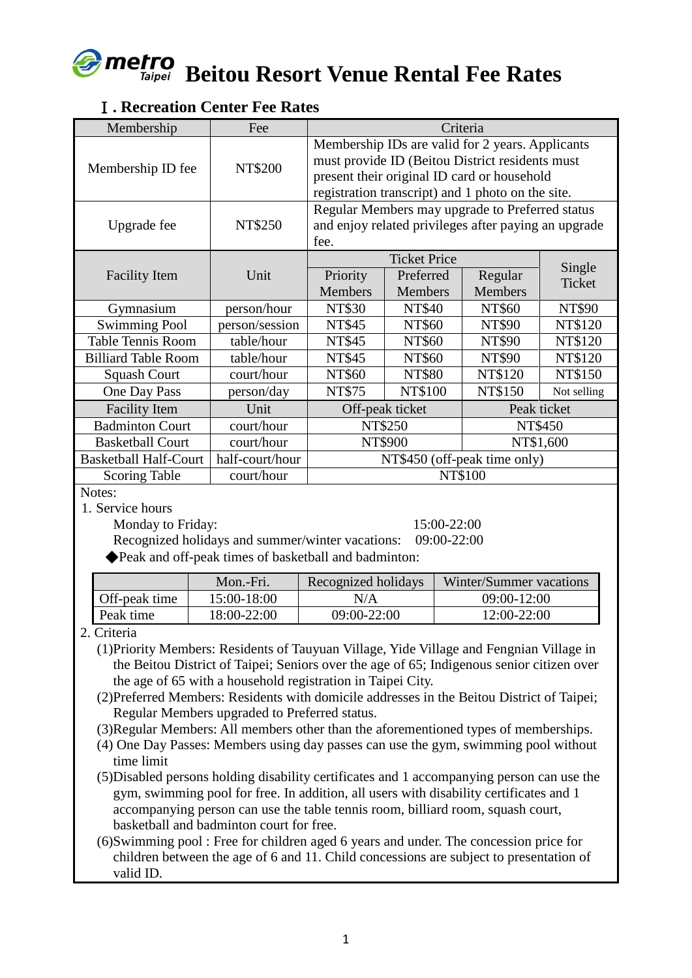# met **Beitou Resort Venue Rental Fee Rates**

## Ⅰ**. Recreation Center Fee Rates**

| Membership                   | Fee             | Criteria                                                                                                                                                                                                |                     |                |                  |
|------------------------------|-----------------|---------------------------------------------------------------------------------------------------------------------------------------------------------------------------------------------------------|---------------------|----------------|------------------|
| Membership ID fee            | NT\$200         | Membership IDs are valid for 2 years. Applicants<br>must provide ID (Beitou District residents must<br>present their original ID card or household<br>registration transcript) and 1 photo on the site. |                     |                |                  |
| Upgrade fee                  | NT\$250         | Regular Members may upgrade to Preferred status<br>and enjoy related privileges after paying an upgrade<br>fee.                                                                                         |                     |                |                  |
|                              |                 |                                                                                                                                                                                                         | <b>Ticket Price</b> |                |                  |
| <b>Facility Item</b>         | Unit            | Priority                                                                                                                                                                                                | Preferred           | Regular        | Single<br>Ticket |
|                              |                 | <b>Members</b>                                                                                                                                                                                          | Members             | <b>Members</b> |                  |
| Gymnasium                    | person/hour     | <b>NT\$30</b>                                                                                                                                                                                           | <b>NT\$40</b>       | NT\$60         | NT\$90           |
| <b>Swimming Pool</b>         | person/session  | <b>NT\$45</b>                                                                                                                                                                                           | NT\$60              | NT\$90         | NT\$120          |
| <b>Table Tennis Room</b>     | table/hour      | <b>NT\$45</b>                                                                                                                                                                                           | NT\$60              | NT\$90         | NT\$120          |
| <b>Billiard Table Room</b>   | table/hour      | NT\$45                                                                                                                                                                                                  | NT\$60              | NT\$90         | NT\$120          |
| <b>Squash Court</b>          | court/hour      | NT\$60                                                                                                                                                                                                  | <b>NT\$80</b>       | NT\$120        | NT\$150          |
| One Day Pass                 | person/day      | NT\$75                                                                                                                                                                                                  | NT\$100             | NT\$150        | Not selling      |
| <b>Facility Item</b>         | Unit            | Off-peak ticket                                                                                                                                                                                         |                     | Peak ticket    |                  |
| <b>Badminton Court</b>       | court/hour      | NT\$250                                                                                                                                                                                                 |                     | NT\$450        |                  |
| <b>Basketball Court</b>      | court/hour      | NT\$900                                                                                                                                                                                                 |                     |                | NT\$1,600        |
| <b>Basketball Half-Court</b> | half-court/hour | NT\$450 (off-peak time only)                                                                                                                                                                            |                     |                |                  |
| <b>Scoring Table</b>         | court/hour      | NT\$100                                                                                                                                                                                                 |                     |                |                  |

Notes:

1. Service hours

Monday to Friday: 15:00-22:00

Recognized holidays and summer/winter vacations: 09:00-22:00

◆Peak and off-peak times of basketball and badminton:

|               | Mon.-Fri.   | Recognized holidays | Winter/Summer vacations |
|---------------|-------------|---------------------|-------------------------|
| Off-peak time | 15:00-18:00 | N/A                 | $09:00 - 12:00$         |
| Peak time     | 18:00-22:00 | $09:00 - 22:00$     | 12:00-22:00             |

2. Criteria

- (1)Priority Members: Residents of Tauyuan Village, Yide Village and Fengnian Village in the Beitou District of Taipei; Seniors over the age of 65; Indigenous senior citizen over the age of 65 with a household registration in Taipei City.
- (2)Preferred Members: Residents with domicile addresses in the Beitou District of Taipei; Regular Members upgraded to Preferred status.
- (3)Regular Members: All members other than the aforementioned types of memberships.
- (4) One Day Passes: Members using day passes can use the gym, swimming pool without time limit
- (5)Disabled persons holding disability certificates and 1 accompanying person can use the gym, swimming pool for free. In addition, all users with disability certificates and 1 accompanying person can use the table tennis room, billiard room, squash court, basketball and badminton court for free.
- (6)Swimming pool : Free for children aged 6 years and under. The concession price for children between the age of 6 and 11. Child concessions are subject to presentation of valid ID.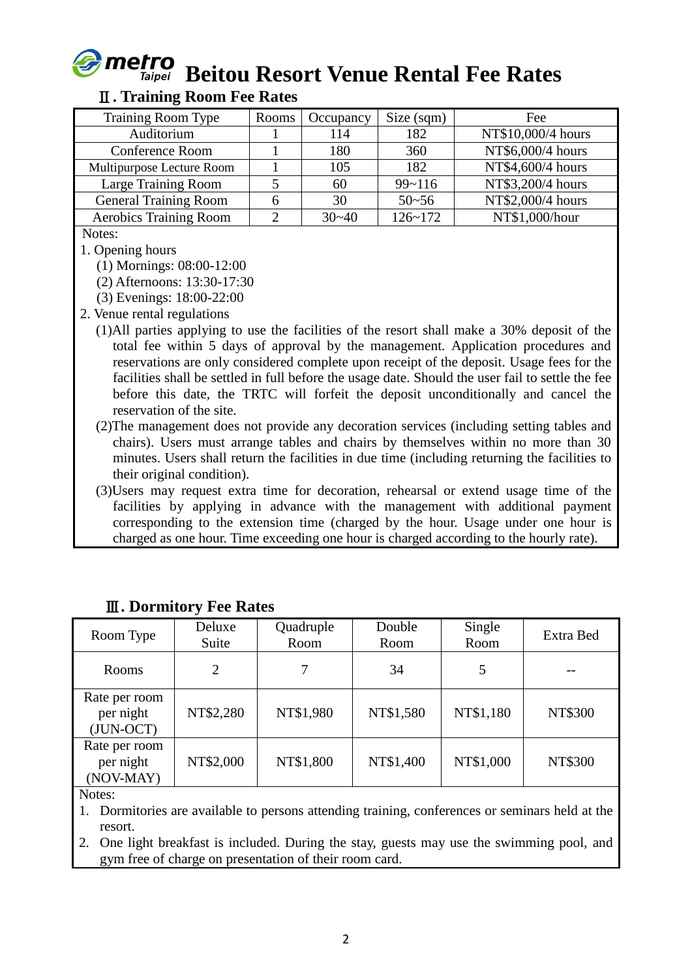

# **Beitou Resort Venue Rental Fee Rates**

#### Ⅱ**. Training Room Fee Rates**

| Rooms | Occupancy | Size (sqm)  | Fee                |
|-------|-----------|-------------|--------------------|
|       | 114       | 182         | NT\$10,000/4 hours |
|       | 180       | 360         | NT\$6,000/4 hours  |
|       | 105       | 182         | NT\$4,600/4 hours  |
|       | 60        | $99 - 116$  | NT\$3,200/4 hours  |
|       | 30        | $50 - 56$   | NT\$2,000/4 hours  |
|       | $30 - 40$ | $126 - 172$ | NT\$1,000/hour     |
|       |           |             |                    |

Notes:

1. Opening hours

(1) Mornings: 08:00-12:00

(2) Afternoons: 13:30-17:30

(3) Evenings: 18:00-22:00

2. Venue rental regulations

- (1)All parties applying to use the facilities of the resort shall make a 30% deposit of the total fee within 5 days of approval by the management. Application procedures and reservations are only considered complete upon receipt of the deposit. Usage fees for the facilities shall be settled in full before the usage date. Should the user fail to settle the fee before this date, the TRTC will forfeit the deposit unconditionally and cancel the reservation of the site.
- (2)The management does not provide any decoration services (including setting tables and chairs). Users must arrange tables and chairs by themselves within no more than 30 minutes. Users shall return the facilities in due time (including returning the facilities to their original condition).
- (3)Users may request extra time for decoration, rehearsal or extend usage time of the facilities by applying in advance with the management with additional payment corresponding to the extension time (charged by the hour. Usage under one hour is charged as one hour. Time exceeding one hour is charged according to the hourly rate).

| Room Type                                 | Deluxe<br>Suite | Quadruple<br>Room | Double<br>Room | Single<br>Room | Extra Bed |
|-------------------------------------------|-----------------|-------------------|----------------|----------------|-----------|
| Rooms                                     | $\overline{2}$  |                   | 34             | 5              |           |
| Rate per room<br>per night<br>$(JUN-OCT)$ | NT\$2,280       | NT\$1,980         | NT\$1,580      | NT\$1,180      | NT\$300   |
| Rate per room<br>per night<br>(NOV-MAY)   | NT\$2,000       | NT\$1,800         | NT\$1,400      | NT\$1,000      | NT\$300   |

# Ⅲ**. Dormitory Fee Rates**

Notes:

1. Dormitories are available to persons attending training, conferences or seminars held at the resort.

2. One light breakfast is included. During the stay, guests may use the swimming pool, and gym free of charge on presentation of their room card.